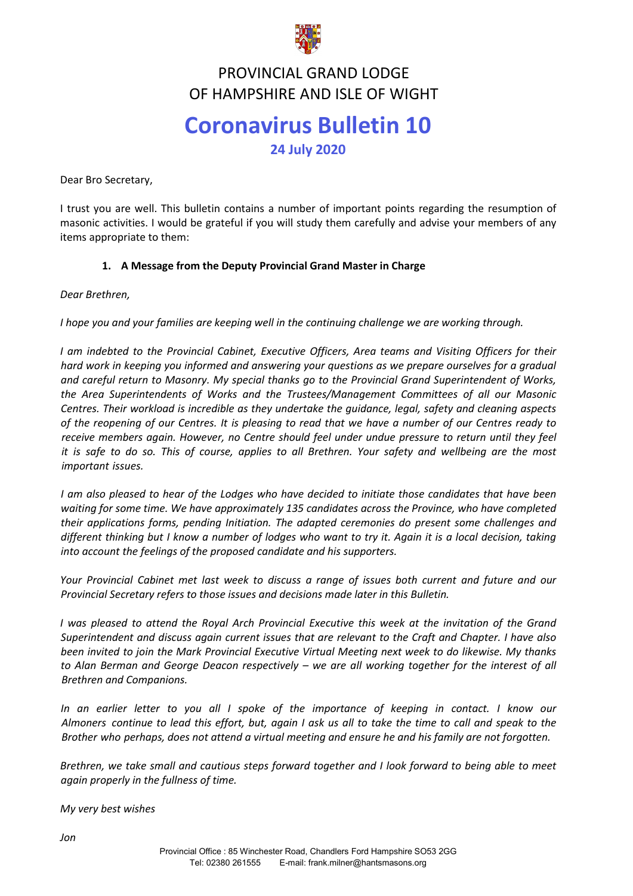

#### **FRUVINCIAL GRAND LUDGE**<br>TE HAMPSHIPE AND ISLE OF WICH PROVINCIAL GRAND LODGE OF HAMPSHIRE AND ISLE OF WIGHT

# **Coronavirus Bulletin 10 24 July 2020**

Dear Bro Secretary,

I trust you are well. This bulletin contains a number of important points regarding the resumption of masonic activities. I would be grateful if you will study them carefully and advise your members of any items appropriate to them:

#### **1. A Message from the Deputy Provincial Grand Master in Charge**

*Dear Brethren,*

*I hope you and your families are keeping well in the continuing challenge we are working through.*

*I am indebted to the Provincial Cabinet, Executive Officers, Area teams and Visiting Officers for their hard work in keeping you informed and answering your questions as we prepare ourselves for a gradual and careful return to Masonry. My special thanks go to the Provincial Grand Superintendent of Works, the Area Superintendents of Works and the Trustees/Management Committees of all our Masonic Centres. Their workload is incredible as they undertake the guidance, legal, safety and cleaning aspects of the reopening of our Centres. It is pleasing to read that we have a number of our Centres ready to receive members again. However, no Centre should feel under undue pressure to return until they feel it is safe to do so. This of course, applies to all Brethren. Your safety and wellbeing are the most important issues.* 

*I am also pleased to hear of the Lodges who have decided to initiate those candidates that have been waiting for some time. We have approximately 135 candidates across the Province, who have completed their applications forms, pending Initiation. The adapted ceremonies do present some challenges and different thinking but I know a number of lodges who want to try it. Again it is a local decision, taking into account the feelings of the proposed candidate and his supporters.*

*Your Provincial Cabinet met last week to discuss a range of issues both current and future and our Provincial Secretary refers to those issues and decisions made later in this Bulletin.*

*I was pleased to attend the Royal Arch Provincial Executive this week at the invitation of the Grand Superintendent and discuss again current issues that are relevant to the Craft and Chapter. I have also been invited to join the Mark Provincial Executive Virtual Meeting next week to do likewise. My thanks to Alan Berman and George Deacon respectively – we are all working together for the interest of all Brethren and Companions.* 

In an earlier letter to you all I spoke of the importance of keeping in contact. I know our *Almoners continue to lead this effort, but, again I ask us all to take the time to call and speak to the Brother who perhaps, does not attend a virtual meeting and ensure he and his family are not forgotten.* 

*Brethren, we take small and cautious steps forward together and I look forward to being able to meet again properly in the fullness of time.*

*My very best wishes*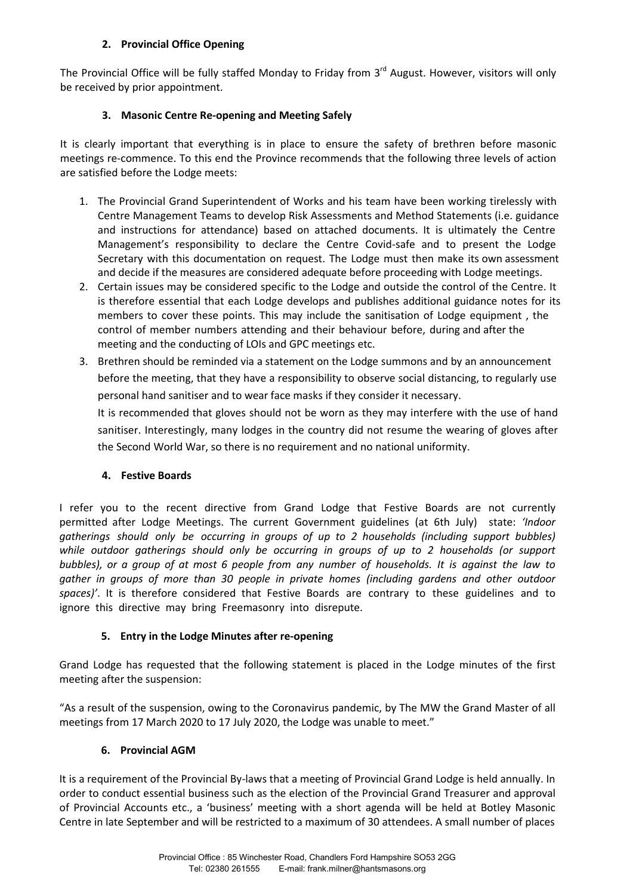#### **2. Provincial Office Opening**

The Provincial Office will be fully staffed Monday to Friday from 3<sup>rd</sup> August. However, visitors will only be received by prior appointment.

## **3. Masonic Centre Re-opening and Meeting Safely**

It is clearly important that everything is in place to ensure the safety of brethren before masonic meetings re-commence. To this end the Province recommends that the following three levels of action are satisfied before the Lodge meets:

- 1. The Provincial Grand Superintendent of Works and his team have been working tirelessly with Centre Management Teams to develop Risk Assessments and Method Statements (i.e. guidance and instructions for attendance) based on attached documents. It is ultimately the Centre Management's responsibility to declare the Centre Covid-safe and to present the Lodge Secretary with this documentation on request. The Lodge must then make its own assessment and decide if the measures are considered adequate before proceeding with Lodge meetings.
- 2. Certain issues may be considered specific to the Lodge and outside the control of the Centre. It is therefore essential that each Lodge develops and publishes additional guidance notes for its members to cover these points. This may include the sanitisation of Lodge equipment , the control of member numbers attending and their behaviour before, during and after the meeting and the conducting of LOIs and GPC meetings etc.
- 3. Brethren should be reminded via a statement on the Lodge summons and by an announcement before the meeting, that they have a responsibility to observe social distancing, to regularly use personal hand sanitiser and to wear face masks if they consider it necessary.

It is recommended that gloves should not be worn as they may interfere with the use of hand sanitiser. Interestingly, many lodges in the country did not resume the wearing of gloves after the Second World War, so there is no requirement and no national uniformity.

## **4. Festive Boards**

I refer you to the recent directive from Grand Lodge that Festive Boards are not currently permitted after Lodge Meetings. The current Government guidelines (at 6th July) state: *'Indoor gatherings should only be occurring in groups of up to 2 households (including support bubbles) while outdoor gatherings should only be occurring in groups of up to 2 households (or support bubbles), or a group of at most 6 people from any number of households. It is against the law to gather in groups of more than 30 people in private homes (including gardens and other outdoor spaces)'*. It is therefore considered that Festive Boards are contrary to these guidelines and to ignore this directive may bring Freemasonry into disrepute.

## **5. Entry in the Lodge Minutes after re-opening**

Grand Lodge has requested that the following statement is placed in the Lodge minutes of the first meeting after the suspension:

"As a result of the suspension, owing to the Coronavirus pandemic, by The MW the Grand Master of all meetings from 17 March 2020 to 17 July 2020, the Lodge was unable to meet."

## **6. Provincial AGM**

It is a requirement of the Provincial By-laws that a meeting of Provincial Grand Lodge is held annually. In order to conduct essential business such as the election of the Provincial Grand Treasurer and approval of Provincial Accounts etc., a 'business' meeting with a short agenda will be held at Botley Masonic Centre in late September and will be restricted to a maximum of 30 attendees. A small number of places